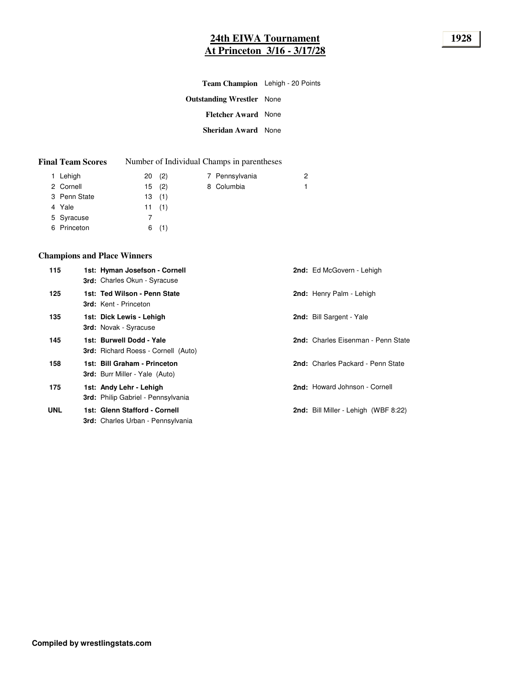# **24th EIWA Tournament 1928 At Princeton 3/16 - 3/17/28**

| Team Champion Lehigh - 20 Points |  |
|----------------------------------|--|
| <b>Outstanding Wrestler</b> None |  |
| <b>Fletcher Award</b> None       |  |
| <b>Sheridan Award</b> None       |  |
|                                  |  |

| <b>Final Team Scores</b><br>Number of Individual Champs in parentheses |
|------------------------------------------------------------------------|
|------------------------------------------------------------------------|

| 1 Lehigh     | 20(2) | 7 Pennsylvania | 2 |
|--------------|-------|----------------|---|
| 2 Cornell    | 15(2) | 8 Columbia     |   |
| 3 Penn State | 13(1) |                |   |
| 4 Yale       | 11(1) |                |   |
| 5 Syracuse   |       |                |   |
| 6 Princeton  | 6(1)  |                |   |

## **Champions and Place Winners**

| 115        | 1st: Hyman Josefson - Cornell<br>3rd: Charles Okun - Syracuse             | 2nd: Ed McGovern - Lehigh                   |
|------------|---------------------------------------------------------------------------|---------------------------------------------|
| 125        | 1st: Ted Wilson - Penn State<br><b>3rd:</b> Kent - Princeton              | 2nd: Henry Palm - Lehigh                    |
| 135        | 1st: Dick Lewis - Lehigh<br><b>3rd:</b> Novak - Syracuse                  | 2nd: Bill Sargent - Yale                    |
| 145        | 1st: Burwell Dodd - Yale<br><b>3rd:</b> Richard Roess - Cornell (Auto)    | 2nd: Charles Eisenman - Penn State          |
| 158        | 1st: Bill Graham - Princeton<br><b>3rd:</b> Burr Miller - Yale (Auto)     | 2nd: Charles Packard - Penn State           |
| 175        | 1st: Andy Lehr - Lehigh<br>3rd: Philip Gabriel - Pennsylvania             | 2nd: Howard Johnson - Cornell               |
| <b>UNL</b> | 1st: Glenn Stafford - Cornell<br><b>3rd:</b> Charles Urban - Pennsylvania | <b>2nd:</b> Bill Miller - Lehigh (WBF 8:22) |
|            |                                                                           |                                             |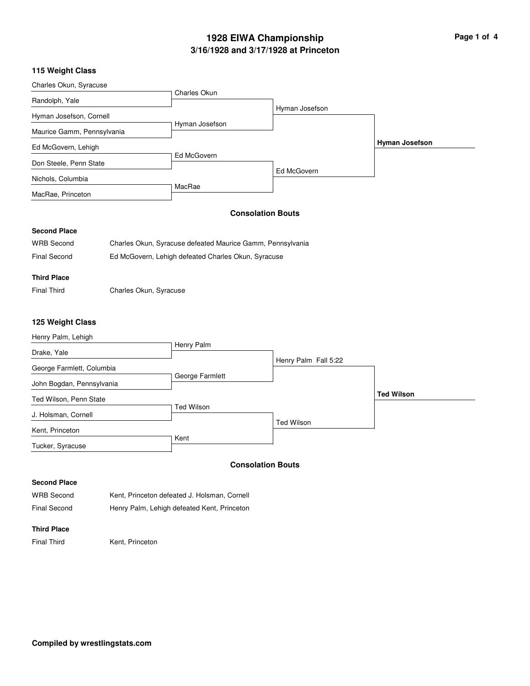# **3/16/1928 and 3/17/1928 at Princeton 1928 EIWA Championship Page 1 of 4**

### **115 Weight Class**

| Charles Okun, Syracuse     |                |                |                       |
|----------------------------|----------------|----------------|-----------------------|
|                            | Charles Okun   |                |                       |
| Randolph, Yale             |                |                |                       |
| Hyman Josefson, Cornell    |                | Hyman Josefson |                       |
| Maurice Gamm, Pennsylvania | Hyman Josefson |                |                       |
| Ed McGovern, Lehigh        |                |                | <b>Hyman Josefson</b> |
| Don Steele, Penn State     | Ed McGovern    |                |                       |
| Nichols, Columbia          |                | Ed McGovern    |                       |
| MacRae, Princeton          | MacRae         |                |                       |

### **Consolation Bouts**

#### **Second Place**

| <b>WRB Second</b> | Charles Okun, Syracuse defeated Maurice Gamm, Pennsylvania |
|-------------------|------------------------------------------------------------|
| Final Second      | Ed McGovern, Lehigh defeated Charles Okun, Syracuse        |

### **Third Place**

Final Third Charles Okun, Syracuse

#### **125 Weight Class**

| Henry Palm, Lehigh        |                 |                      |                   |
|---------------------------|-----------------|----------------------|-------------------|
| Drake, Yale               | Henry Palm      |                      |                   |
| George Farmlett, Columbia |                 | Henry Palm Fall 5:22 |                   |
| John Bogdan, Pennsylvania | George Farmlett |                      |                   |
| Ted Wilson, Penn State    |                 |                      | <b>Ted Wilson</b> |
| J. Holsman, Cornell       | Ted Wilson      |                      |                   |
| Kent, Princeton           |                 | <b>Ted Wilson</b>    |                   |
| Tucker, Syracuse          | Kent            |                      |                   |

#### **Consolation Bouts**

**Second Place**

| <b>WRB Second</b> | Kent, Princeton defeated J. Holsman, Cornell |
|-------------------|----------------------------------------------|
| Final Second      | Henry Palm, Lehigh defeated Kent, Princeton  |

## **Third Place**

Final Third Kent, Princeton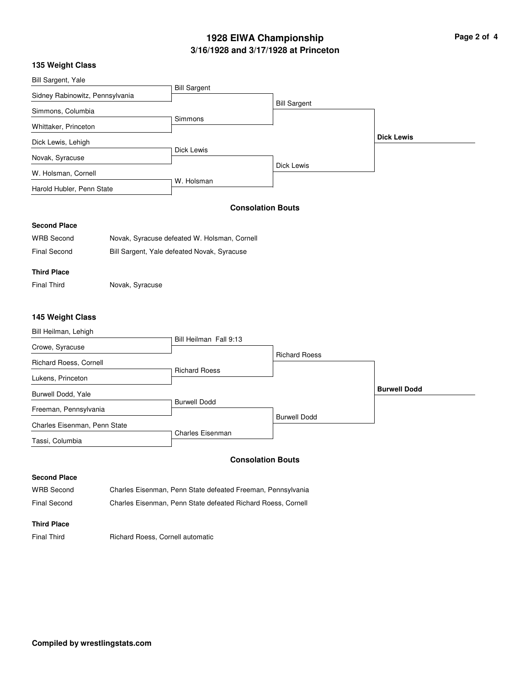# **3/16/1928 and 3/17/1928 at Princeton 1928 EIWA Championship**

| Page 2 of |  |  |  |
|-----------|--|--|--|
|-----------|--|--|--|

### **135 Weight Class**

| Bill Sargent, Yale              |                                              |                          |                   |
|---------------------------------|----------------------------------------------|--------------------------|-------------------|
|                                 | <b>Bill Sargent</b>                          |                          |                   |
| Sidney Rabinowitz, Pennsylvania |                                              | <b>Bill Sargent</b>      |                   |
| Simmons, Columbia               |                                              |                          |                   |
| Whittaker, Princeton            | Simmons                                      |                          |                   |
|                                 |                                              |                          | <b>Dick Lewis</b> |
| Dick Lewis, Lehigh              |                                              |                          |                   |
| Novak, Syracuse                 | Dick Lewis                                   |                          |                   |
| W. Holsman, Cornell             |                                              | Dick Lewis               |                   |
| Harold Hubler, Penn State       | W. Holsman                                   |                          |                   |
|                                 |                                              | <b>Consolation Bouts</b> |                   |
| <b>Second Place</b>             |                                              |                          |                   |
| <b>WRB Second</b>               | Novak, Syracuse defeated W. Holsman, Cornell |                          |                   |

**Third Place**

Final Third **Novak, Syracuse** 

Final Second Bill Sargent, Yale defeated Novak, Syracuse

### **145 Weight Class**

| Bill Heilman, Lehigh         |                        |                      |                     |
|------------------------------|------------------------|----------------------|---------------------|
| Crowe, Syracuse              | Bill Heilman Fall 9:13 |                      |                     |
| Richard Roess, Cornell       |                        | <b>Richard Roess</b> |                     |
| Lukens, Princeton            | <b>Richard Roess</b>   |                      |                     |
| Burwell Dodd, Yale           |                        |                      | <b>Burwell Dodd</b> |
| Freeman, Pennsylvania        | <b>Burwell Dodd</b>    |                      |                     |
| Charles Eisenman, Penn State |                        | <b>Burwell Dodd</b>  |                     |
| Tassi, Columbia              | Charles Eisenman       |                      |                     |

#### **Consolation Bouts**

#### **Second Place**

WRB Second Charles Eisenman, Penn State defeated Freeman, Pennsylvania Final Second Charles Eisenman, Penn State defeated Richard Roess, Cornell

#### **Third Place**

Final Third **Richard Roess, Cornell automatic**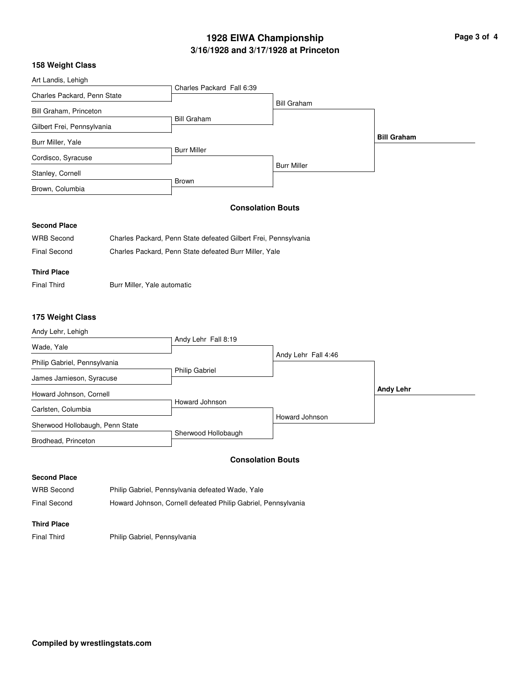# **3/16/1928 and 3/17/1928 at Princeton 1928 EIWA Championship Page 3 of 4**

## **158 Weight Class**

| <b>IJU WEIYIII UIASS</b>        |                             |                                                                 |                          |                    |
|---------------------------------|-----------------------------|-----------------------------------------------------------------|--------------------------|--------------------|
| Art Landis, Lehigh              |                             |                                                                 |                          |                    |
| Charles Packard, Penn State     |                             | Charles Packard Fall 6:39                                       |                          |                    |
| Bill Graham, Princeton          |                             |                                                                 | <b>Bill Graham</b>       |                    |
| Gilbert Frei, Pennsylvania      |                             | <b>Bill Graham</b>                                              |                          |                    |
| Burr Miller, Yale               |                             |                                                                 |                          | <b>Bill Graham</b> |
| Cordisco, Syracuse              |                             | <b>Burr Miller</b>                                              |                          |                    |
| Stanley, Cornell                |                             |                                                                 | <b>Burr Miller</b>       |                    |
| Brown, Columbia                 |                             | Brown                                                           |                          |                    |
|                                 |                             |                                                                 | <b>Consolation Bouts</b> |                    |
| <b>Second Place</b>             |                             |                                                                 |                          |                    |
| <b>WRB</b> Second               |                             | Charles Packard, Penn State defeated Gilbert Frei, Pennsylvania |                          |                    |
| <b>Final Second</b>             |                             | Charles Packard, Penn State defeated Burr Miller, Yale          |                          |                    |
| <b>Third Place</b>              |                             |                                                                 |                          |                    |
| <b>Final Third</b>              | Burr Miller, Yale automatic |                                                                 |                          |                    |
| 175 Weight Class                |                             |                                                                 |                          |                    |
| Andy Lehr, Lehigh               |                             |                                                                 |                          |                    |
| Wade, Yale                      |                             | Andy Lehr Fall 8:19                                             |                          |                    |
| Philip Gabriel, Pennsylvania    |                             |                                                                 | Andy Lehr Fall 4:46      |                    |
| James Jamieson, Syracuse        |                             | <b>Philip Gabriel</b>                                           |                          |                    |
| Howard Johnson, Cornell         |                             |                                                                 |                          | <b>Andy Lehr</b>   |
| Carlsten, Columbia              |                             | Howard Johnson                                                  |                          |                    |
| Sherwood Hollobaugh, Penn State |                             |                                                                 | Howard Johnson           |                    |
| Brodhead, Princeton             |                             | Sherwood Hollobaugh                                             |                          |                    |

### **Consolation Bouts**

#### **Second Place**

WRB Second Philip Gabriel, Pennsylvania defeated Wade, Yale Final Second **Howard Johnson, Cornell defeated Philip Gabriel, Pennsylvania** 

#### **Third Place**

Final Third Philip Gabriel, Pennsylvania